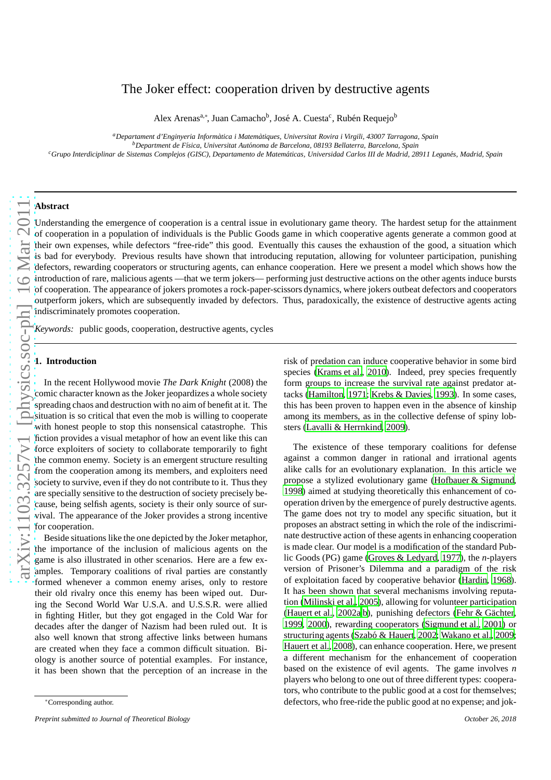# The Joker effect: cooperation driven by destructive agents

Alex Arenas<sup>a,∗</sup>, Juan Camacho<sup>b</sup>, José A. Cuesta<sup>c</sup>, Rubén Requejo<sup>b</sup>

*<sup>a</sup>Departament d'Enginyeria Inform`atica i Matem`atiques, Universitat Rovira i Virgili, 43007 Tarragona, Spain*

*<sup>b</sup>Department de F´ısica, Universitat Aut´onoma de Barcelona, 08193 Bellaterra, Barcelona, Spain*

*<sup>c</sup>Grupo Interdiciplinar de Sistemas Complejos (GISC), Departamento de Matem´aticas, Universidad Carlos III de Madrid, 28911 Legan´es, Madrid, Spain*

# **Abstract**

Understanding the emergence of cooperation is a central issue in evolutionary game theory. The hardest setup for the attainment of cooperation in a population of individuals is the Public Goods game in which cooperative agents generate a common good at their own expenses, while defectors "free-ride" this good. Eventually this causes the exhaustion of the good, a situation which is bad for everybody. Previous results have shown that introducing reputation, allowing for volunteer participation, punishing defectors, rewarding cooperators or structuring agents, can enhance cooperation. Here we present a model which shows how the introduction of rare, malicious agents —that we term jokers— performing just destructive actions on the other agents induce bursts of cooperation. The appearance of jokers promotes a rock-paper-scissors dynamics, where jokers outbeat defectors and cooperators outperform jokers, which are subsequently invaded by defectors. Thus, paradoxically, the existence of destructive agents acting indiscriminately promotes cooperation.

*Keywords:* public goods, cooperation, destructive agents, cycles

## **1. Introduction**

In the recent Hollywood movie *The Dark Knight* (2008) the comic character known as the Joker jeopardizes a whole society spreading chaos and destruction with no aim of benefit at it. The situation is so critical that even the mob is willing to cooperate with honest people to stop this nonsensical catastrophe. This fiction provides a visual metaphor of how an event like this can force exploiters of society to collaborate temporarily to fight the common enemy. Society is an emergent structure resulting from the cooperation among its members, and exploiters need society to survive, even if they do not contribute to it. Thus they are specially sensitive to the destruction of society precisely because, being selfish agents, society is their only source of survival. The appearance of the Joker provides a strong incentive for cooperation.

Beside situations like the one depicted by the Joker metaphor, the importance of the inclusion of malicious agents on the game is also illustrated in other scenarios. Here are a few examples. Temporary coalitions of rival parties are constantly formed whenever a common enemy arises, only to restore their old rivalry once this enemy has been wiped out. During the Second World War U.S.A. and U.S.S.R. were allied in fighting Hitler, but they got engaged in the Cold War for decades after the danger of Nazism had been ruled out. It is also well known that strong affective links between humans are created when they face a common difficult situation. Biology is another source of potential examples. For instance, it has been shown that the perception of an increase in the

risk of predation can induce cooperative behavior in some bird species [\(Krams et al., 2010\)](#page-6-0). Indeed, prey species frequently form groups to increase the survival rate against predator attacks [\(Hamilton, 1971;](#page-6-1) [Krebs & Davies](#page-6-2), [1993](#page-6-2)). In some cases, this has been proven to happen even in the absence of kinship among its members, as in the collective defense of spiny lobsters [\(Lavalli & Herrnkind](#page-6-3), [2009](#page-6-3)).

The existence of these temporary coalitions for defense against a common danger in rational and irrational agents alike calls for an evolutionary explanation. In this article we propose a stylized evolutionary game [\(Hofbauer & Sigmund](#page-6-4), [1998\)](#page-6-4) aimed at studying theoretically this enhancement of cooperation driven by the emergence of purely destructive agents. The game does not try to model any specific situation, but it proposes an abstract setting in which the role of the indiscriminate destructive action of these agents in enhancing cooperation is made clear. Our model is a modification of the standard Public Goods (PG) game [\(Groves & Ledyard, 1977](#page-6-5)), the *n*-players version of Prisoner's Dilemma and a paradigm of the risk of exploitation faced by cooperative behavior [\(Hardin, 1968\)](#page-6-6). It has been shown that several mechanisms involving reputation [\(Milinski et al., 2005](#page-6-7)), allowing for volunteer participation [\(Hauert et al., 2002a](#page-6-8)[,b\)](#page-6-9), punishing defectors (Fehr & Gächter, [1999,](#page-6-10) [2000\)](#page-6-11), rewarding cooperators [\(Sigmund et al., 2001\)](#page-7-0) or structuring agents (Szabó & Hauert, 2002; [Wakano et al.](#page-7-2), [2009;](#page-7-2) [Hauert et al., 2008](#page-6-12)), can enhance cooperation. Here, we present a different mechanism for the enhancement of cooperation based on the existence of evil agents. The game involves *n* players who belong to one out of three different types: cooperators, who contribute to the public good at a cost for themselves; defectors, who free-ride the public good at no expense; and jok-

<sup>∗</sup>Corresponding author.

*Preprint submitted to Journal of Theoretical Biology October 26, 2018*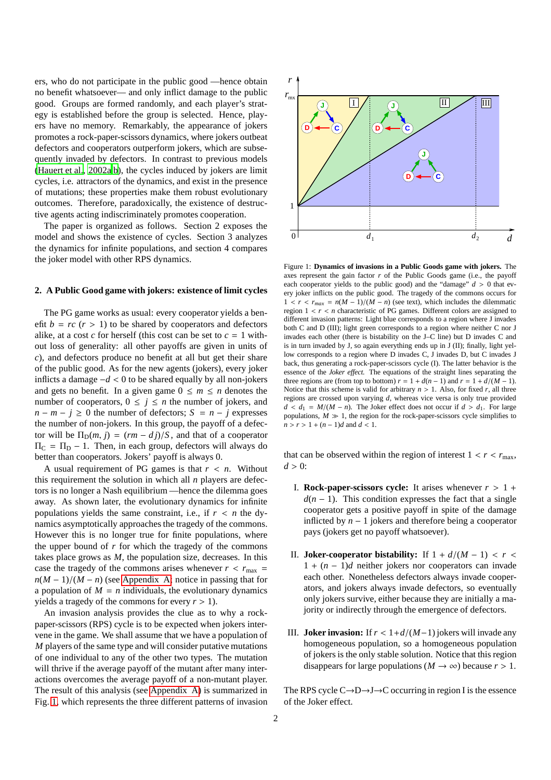ers, who do not participate in the public good —hence obtain no benefit whatsoever— and only inflict damage to the public good. Groups are formed randomly, and each player's strategy is established before the group is selected. Hence, players have no memory. Remarkably, the appearance of jokers promotes a rock-paper-scissors dynamics, where jokers outbeat defectors and cooperators outperform jokers, which are subsequently invaded by defectors. In contrast to previous models [\(Hauert et al., 2002a](#page-6-8)[,b](#page-6-9)), the cycles induced by jokers are limit cycles, i.e. attractors of the dynamics, and exist in the presence of mutations; these properties make them robust evolutionary outcomes. Therefore, paradoxically, the existence of destructive agents acting indiscriminately promotes cooperation.

The paper is organized as follows. Section 2 exposes the model and shows the existence of cycles. Section 3 analyzes the dynamics for infinite populations, and section 4 compares the joker model with other RPS dynamics.

## **2. A Public Good game with jokers: existence of limit cycles**

The PG game works as usual: every cooperator yields a benefit  $b = rc$  ( $r > 1$ ) to be shared by cooperators and defectors alike, at a cost *c* for herself (this cost can be set to  $c = 1$  without loss of generality: all other payoffs are given in units of *c*), and defectors produce no benefit at all but get their share of the public good. As for the new agents (jokers), every joker inflicts a damage −*d* < 0 to be shared equally by all non-jokers and gets no benefit. In a given game  $0 \le m \le n$  denotes the number of cooperators,  $0 \leq j \leq n$  the number of jokers, and  $n - m - j \geq 0$  the number of defectors;  $S = n - j$  expresses the number of non-jokers. In this group, the payoff of a defector will be  $\Pi_{\text{D}}(m, j) = (rm - dj)/S$ , and that of a cooperator  $\Pi_{\rm C} = \Pi_{\rm D} - 1$ . Then, in each group, defectors will always do better than cooperators. Jokers' payoff is always 0.

A usual requirement of PG games is that *r* < *n*. Without this requirement the solution in which all *n* players are defectors is no longer a Nash equilibrium —hence the dilemma goes away. As shown later, the evolutionary dynamics for infinite populations yields the same constraint, i.e., if  $r < n$  the dynamics asymptotically approaches the tragedy of the commons. However this is no longer true for finite populations, where the upper bound of *r* for which the tragedy of the commons takes place grows as *M*, the population size, decreases. In this case the tragedy of the commons arises whenever  $r < r_{\text{max}} =$  $n(M-1)/(M-n)$  (see [Appendix A;](#page-3-0) notice in passing that for a population of  $M = n$  individuals, the evolutionary dynamics yields a tragedy of the commons for every  $r > 1$ ).

An invasion analysis provides the clue as to why a rockpaper-scissors (RPS) cycle is to be expected when jokers intervene in the game. We shall assume that we have a population of *M* players of the same type and will consider putative mutations of one individual to any of the other two types. The mutation will thrive if the average payoff of the mutant after many interactions overcomes the average payoff of a non-mutant player. The result of this analysis (see [Appendix A\)](#page-3-0) is summarized in Fig. [1,](#page-1-0) which represents the three different patterns of invasion



<span id="page-1-0"></span>Figure 1: **Dynamics of invasions in a Public Goods game with jokers.** The axes represent the gain factor  $r$  of the Public Goods game (i.e., the payoff each cooperator yields to the public good) and the "damage"  $d > 0$  that every joker inflicts on the public good. The tragedy of the commons occurs for  $1 < r < r_{max} = n(M-1)/(M-n)$  (see text), which includes the dilemmatic region  $1 < r < n$  characteristic of PG games. Different colors are assigned to different invasion patterns: Light blue corresponds to a region where J invades both C and D (III); light green corresponds to a region where neither C nor J invades each other (there is bistability on the J–C line) but D invades C and is in turn invaded by J, so again everything ends up in J (II); finally, light yellow corresponds to a region where D invades C, J invades D, but C invades J back, thus generating a rock-paper-scissors cycle (I). The latter behavior is the essence of the *Joker effect.* The equations of the straight lines separating the three regions are (from top to bottom)  $r = 1 + d(n - 1)$  and  $r = 1 + d/(M - 1)$ . Notice that this scheme is valid for arbitrary  $n > 1$ . Also, for fixed  $r$ , all three regions are crossed upon varying *d*, whereas vice versa is only true provided  $d < d_1 = M/(M - n)$ . The Joker effect does not occur if  $d > d_1$ . For large populations,  $M \gg 1$ , the region for the rock-paper-scissors cycle simplifies to *n* > *r* > 1 + (*n* − 1)*d* and *d* < 1.

that can be observed within the region of interest  $1 < r < r_{\text{max}}$ ,  $d > 0$ :

- **I. Rock-paper-scissors cycle:** It arises whenever  $r > 1 + \frac{1}{r}$  $d(n-1)$ . This condition expresses the fact that a single cooperator gets a positive payoff in spite of the damage inflicted by *n* − 1 jokers and therefore being a cooperator pays (jokers get no payoff whatsoever).
- II. **Joker-cooperator bistability:** If  $1 + d/(M 1) < r <$ 1 + (*n* − 1)*d* neither jokers nor cooperators can invade each other. Nonetheless defectors always invade cooperators, and jokers always invade defectors, so eventually only jokers survive, either because they are initially a majority or indirectly through the emergence of defectors.
- III. **Joker invasion:** If *r* < 1+*d*/(*M*−1) jokers will invade any homogeneous population, so a homogeneous population of jokers is the only stable solution. Notice that this region disappears for large populations ( $M \rightarrow \infty$ ) because  $r > 1$ .

The RPS cycle  $C \rightarrow D \rightarrow J \rightarrow C$  occurring in region I is the essence of the Joker effect.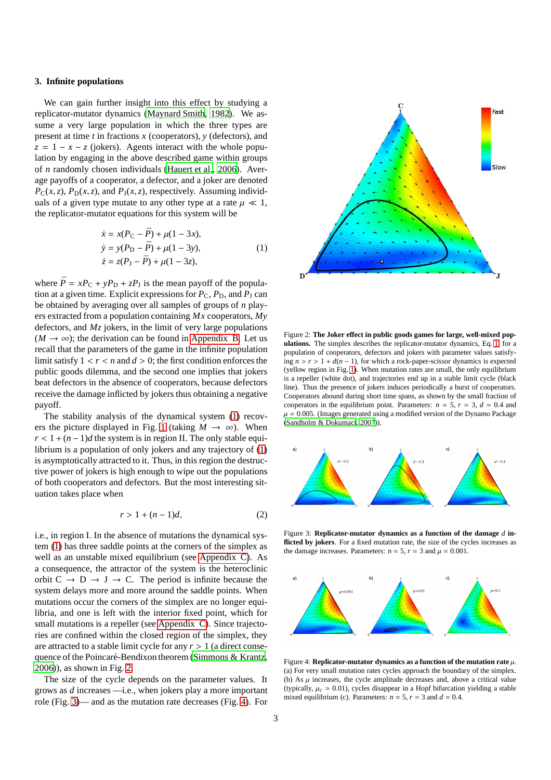#### **3. Infinite populations**

We can gain further insight into this effect by studying a replicator-mutator dynamics [\(Maynard Smith](#page-6-13), [1982\)](#page-6-13). We assume a very large population in which the three types are present at time *t* in fractions *x* (cooperators), *y* (defectors), and  $z = 1 - x - z$  (jokers). Agents interact with the whole population by engaging in the above described game within groups of *n* randomly chosen individuals [\(Hauert et al., 2006](#page-6-14)). Average payoffs of a cooperator, a defector, and a joker are denoted  $P_C(x, z)$ ,  $P_D(x, z)$ , and  $P_J(x, z)$ , respectively. Assuming individuals of a given type mutate to any other type at a rate  $\mu \ll 1$ , the replicator-mutator equations for this system will be

$$
\begin{aligned}\n\dot{x} &= x(P_{\rm C} - \bar{P}) + \mu(1 - 3x), \\
\dot{y} &= y(P_{\rm D} - \bar{P}) + \mu(1 - 3y), \\
\dot{z} &= z(P_{\rm J} - \bar{P}) + \mu(1 - 3z),\n\end{aligned} \tag{1}
$$

<span id="page-2-0"></span>where  $\bar{P} = xP_C + yP_D + zP_J$  is the mean payoff of the population at a given time. Explicit expressions for  $P_C$ ,  $P_D$ , and  $P_J$  can be obtained by averaging over all samples of groups of *n* players extracted from a population containing *Mx* cooperators, *My* defectors, and *Mz* jokers, in the limit of very large populations  $(M \rightarrow \infty)$ ; the derivation can be found in [Appendix B.](#page-4-0) Let us recall that the parameters of the game in the infinite population limit satisfy  $1 < r < n$  and  $d > 0$ ; the first condition enforces the public goods dilemma, and the second one implies that jokers beat defectors in the absence of cooperators, because defectors receive the damage inflicted by jokers thus obtaining a negative payoff.

The stability analysis of the dynamical system [\(1\)](#page-2-0) recov-ers the picture displayed in Fig. [1](#page-1-0) (taking  $M \to \infty$ ). When  $r < 1 + (n-1)d$  the system is in region II. The only stable equilibrium is a population of only jokers and any trajectory of [\(1\)](#page-2-0) is asymptotically attracted to it. Thus, in this region the destructive power of jokers is high enough to wipe out the populations of both cooperators and defectors. But the most interesting situation takes place when

<span id="page-2-4"></span>
$$
r > 1 + (n-1)d,\tag{2}
$$

i.e., in region I. In the absence of mutations the dynamical system [\(1\)](#page-2-0) has three saddle points at the corners of the simplex as well as an unstable mixed equilibrium (see [Appendix C\)](#page-5-0). As a consequence, the attractor of the system is the heteroclinic orbit  $C \rightarrow D \rightarrow J \rightarrow C$ . The period is infinite because the system delays more and more around the saddle points. When mutations occur the corners of the simplex are no longer equilibria, and one is left with the interior fixed point, which for small mutations is a repeller (see [Appendix C\)](#page-5-0). Since trajectories are confined within the closed region of the simplex, they are attracted to a stable limit cycle for any  $r > 1$  (a direct conse-quence of the Poincaré-Bendixon theorem [\(Simmons & Krantz](#page-7-3), [2006\)](#page-7-3)), as shown in Fig. [2.](#page-2-1)

The size of the cycle depends on the parameter values. It grows as *d* increases —i.e., when jokers play a more important role (Fig. [3\)](#page-2-2)— and as the mutation rate decreases (Fig. [4\)](#page-2-3). For



<span id="page-2-1"></span>Figure 2: **The Joker effect in public goods games for large, well-mixed populations.** The simplex describes the replicator-mutator dynamics, Eq. [1,](#page-2-0) for a population of cooperators, defectors and jokers with parameter values satisfying  $n > r > 1 + d(n - 1)$ , for which a rock-paper-scissor dynamics is expected (yellow region in Fig. [1\)](#page-1-0). When mutation rates are small, the only equilibrium is a repeller (white dot), and trajectories end up in a stable limit cycle (black line). Thus the presence of jokers induces periodically a burst of cooperators. Cooperators abound during short time spans, as shown by the small fraction of cooperators in the equilibrium point. Parameters:  $n = 5$ ,  $r = 3$ ,  $d = 0.4$  and  $\mu = 0.005$ . (Images generated using a modified version of the Dynamo Package [\(Sandholm & Dokumaci, 2007\)](#page-7-4)).



<span id="page-2-2"></span>Figure 3: **Replicator-mutator dynamics as a function of the damage** *d* **inflicted by jokers**. For a fixed mutation rate, the size of the cycles increases as the damage increases. Parameters:  $n = 5$ ,  $r = 3$  and  $\mu = 0.001$ .



<span id="page-2-3"></span>Figure 4: **Replicator-mutator dynamics as a function of the mutation rate** µ. (a) For very small mutation rates cycles approach the boundary of the simplex. (b) As  $\mu$  increases, the cycle amplitude decreases and, above a critical value (typically,  $\mu_c \approx 0.01$ ), cycles disappear in a Hopf bifurcation yielding a stable mixed equilibrium (c). Parameters:  $n = 5$ ,  $r = 3$  and  $d = 0.4$ .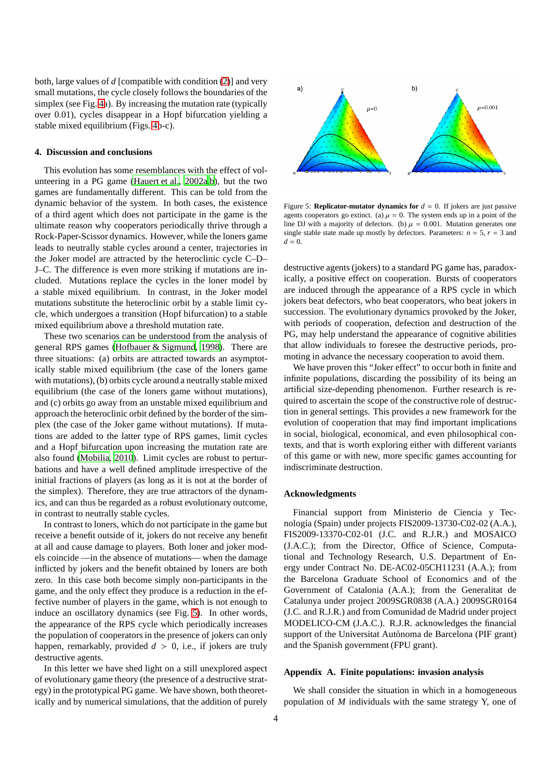both, large values of *d* [compatible with condition [\(2\)](#page-2-4)] and very small mutations, the cycle closely follows the boundaries of the simplex (see Fig. [4a](#page-2-3)). By increasing the mutation rate (typically over 0.01), cycles disappear in a Hopf bifurcation yielding a stable mixed equilibrium (Figs. [4b](#page-2-3)-c).

#### **4. Discussion and conclusions**

This evolution has some resemblances with the effect of volunteering in a PG game [\(Hauert et al.](#page-6-8), [2002a](#page-6-8)[,b](#page-6-9)), but the two games are fundamentally different. This can be told from the dynamic behavior of the system. In both cases, the existence of a third agent which does not participate in the game is the ultimate reason why cooperators periodically thrive through a Rock-Paper-Scissor dynamics. However, while the loners game leads to neutrally stable cycles around a center, trajectories in the Joker model are attracted by the heteroclinic cycle C–D– J–C. The difference is even more striking if mutations are included. Mutations replace the cycles in the loner model by a stable mixed equilibrium. In contrast, in the Joker model mutations substitute the heteroclinic orbit by a stable limit cycle, which undergoes a transition (Hopf bifurcation) to a stable mixed equilibrium above a threshold mutation rate.

These two scenarios can be understood from the analysis of general RPS games [\(Hofbauer & Sigmund, 1998](#page-6-4)). There are three situations: (a) orbits are attracted towards an asymptotically stable mixed equilibrium (the case of the loners game with mutations), (b) orbits cycle around a neutrally stable mixed equilibrium (the case of the loners game without mutations), and (c) orbits go away from an unstable mixed equilibrium and approach the heteroclinic orbit defined by the border of the simplex (the case of the Joker game without mutations). If mutations are added to the latter type of RPS games, limit cycles and a Hopf bifurcation upon increasing the mutation rate are also found [\(Mobilia](#page-6-15), [2010\)](#page-6-15). Limit cycles are robust to perturbations and have a well defined amplitude irrespective of the initial fractions of players (as long as it is not at the border of the simplex). Therefore, they are true attractors of the dynamics, and can thus be regarded as a robust evolutionary outcome, in contrast to neutrally stable cycles.

In contrast to loners, which do not participate in the game but receive a benefit outside of it, jokers do not receive any benefit at all and cause damage to players. Both loner and joker models coincide —in the absence of mutations— when the damage inflicted by jokers and the benefit obtained by loners are both zero. In this case both become simply non-participants in the game, and the only effect they produce is a reduction in the effective number of players in the game, which is not enough to induce an oscillatory dynamics (see Fig. [5\)](#page-3-1). In other words, the appearance of the RPS cycle which periodically increases the population of cooperators in the presence of jokers can only happen, remarkably, provided *d* > 0, i.e., if jokers are truly destructive agents.

In this letter we have shed light on a still unexplored aspect of evolutionary game theory (the presence of a destructive strategy) in the prototypical PG game. We have shown, both theoretically and by numerical simulations, that the addition of purely



<span id="page-3-1"></span>Figure 5: **Replicator-mutator dynamics for**  $d = 0$ . If jokers are just passive agents cooperators go extinct. (a)  $\mu = 0$ . The system ends up in a point of the line DJ with a majority of defectors. (b)  $\mu = 0.001$ . Mutation generates one single stable state made up mostly by defectors. Parameters:  $n = 5$ ,  $r = 3$  and  $d = 0$ .

destructive agents (jokers) to a standard PG game has, paradoxically, a positive effect on cooperation. Bursts of cooperators are induced through the appearance of a RPS cycle in which jokers beat defectors, who beat cooperators, who beat jokers in succession. The evolutionary dynamics provoked by the Joker, with periods of cooperation, defection and destruction of the PG, may help understand the appearance of cognitive abilities that allow individuals to foresee the destructive periods, promoting in advance the necessary cooperation to avoid them.

We have proven this "Joker effect" to occur both in finite and infinite populations, discarding the possibility of its being an artificial size-depending phenomenon. Further research is required to ascertain the scope of the constructive role of destruction in general settings. This provides a new framework for the evolution of cooperation that may find important implications in social, biological, economical, and even philosophical contexts, and that is worth exploring either with different variants of this game or with new, more specific games accounting for indiscriminate destruction.

## **Acknowledgments**

Financial support from Ministerio de Ciencia y Tecnología (Spain) under projects FIS2009-13730-C02-02 (A.A.), FIS2009-13370-C02-01 (J.C. and R.J.R.) and MOSAICO (J.A.C.); from the Director, Office of Science, Computational and Technology Research, U.S. Department of Energy under Contract No. DE-AC02-05CH11231 (A.A.); from the Barcelona Graduate School of Economics and of the Government of Catalonia (A.A.); from the Generalitat de Catalunya under project 2009SGR0838 (A.A.) 2009SGR0164 (J.C. and R.J.R.) and from Comunidad de Madrid under project MODELICO-CM (J.A.C.). R.J.R. acknowledges the financial support of the Universitat Autònoma de Barcelona (PIF grant) and the Spanish government (FPU grant).

#### <span id="page-3-0"></span>**Appendix A. Finite populations: invasion analysis**

We shall consider the situation in which in a homogeneous population of *M* individuals with the same strategy Y, one of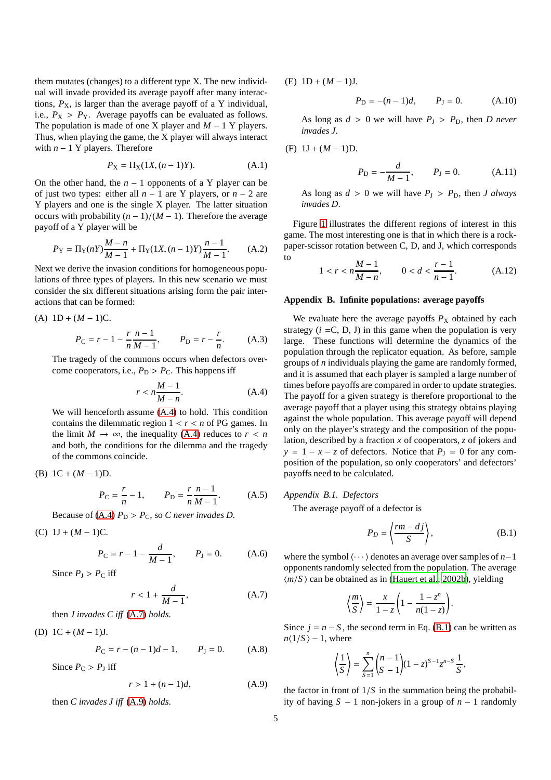them mutates (changes) to a different type X. The new individual will invade provided its average payoff after many interactions,  $P_X$ , is larger than the average payoff of a Y individual, i.e.,  $P_X > P_Y$ . Average payoffs can be evaluated as follows. The population is made of one X player and *M* − 1 Y players. Thus, when playing the game, the X player will always interact with  $n - 1$  Y players. Therefore

$$
P_X = \Pi_X(1X, (n-1)Y).
$$
 (A.1)

On the other hand, the  $n - 1$  opponents of a Y player can be of just two types: either all *n* − 1 are Y players, or *n* − 2 are Y players and one is the single X player. The latter situation occurs with probability  $(n - 1)/(M - 1)$ . Therefore the average payoff of a Y player will be

$$
P_Y = \Pi_Y(nY)\frac{M-n}{M-1} + \Pi_Y(1X, (n-1)Y)\frac{n-1}{M-1}.
$$
 (A.2)

Next we derive the invasion conditions for homogeneous populations of three types of players. In this new scenario we must consider the six different situations arising form the pair interactions that can be formed:

(A) 
$$
1D + (M - 1)C
$$
.  
\n
$$
P_C = r - 1 - \frac{r}{n} \frac{n-1}{M-1}, \qquad P_D = r - \frac{r}{n}.
$$
\n(A.3)

The tragedy of the commons occurs when defectors overcome cooperators, i.e.,  $P_D > P_C$ . This happens iff

<span id="page-4-1"></span>
$$
r < n\frac{M-1}{M-n}.\tag{A.4}
$$

We will henceforth assume [\(A.4\)](#page-4-1) to hold. This condition contains the dilemmatic region  $1 < r < n$  of PG games. In the limit  $M \to \infty$ , the inequality [\(A.4\)](#page-4-1) reduces to  $r < n$ and both, the conditions for the dilemma and the tragedy of the commons coincide.

(B) 
$$
1C + (M - 1)D
$$
.

$$
P_C = \frac{r}{n} - 1,
$$
  $P_D = \frac{r}{n} \frac{n-1}{M-1}.$  (A.5)

Because of [\(A.4\)](#page-4-1)  $P_D > P_C$ , so *C* never invades *D*.

(C)  $1J + (M - 1)C$ .

$$
P_C = r - 1 - \frac{d}{M - 1}, \qquad P_J = 0.
$$
 (A.6)

Since  $P_1 > P_C$  iff

<span id="page-4-2"></span>
$$
r < 1 + \frac{d}{M - 1},\tag{A.7}
$$

then *J invades C iff* [\(A.7\)](#page-4-2) *holds*.

(D) 1C + (*M* − 1)J.

$$
P_{\rm C} = r - (n - 1)d - 1, \qquad P_{\rm J} = 0. \tag{A.8}
$$

Since  $P_{\rm C} > P_{\rm J}$  iff

<span id="page-4-3"></span>
$$
r > 1 + (n-1)d,\tag{A.9}
$$

then *C invades J iff* [\(A.9\)](#page-4-3) *holds*.

(E)  $1D + (M - 1)J$ .

$$
P_{\rm D} = -(n-1)d, \qquad P_{\rm J} = 0. \tag{A.10}
$$

As long as  $d > 0$  we will have  $P_J > P_D$ , then *D never invades J*.

(F) 
$$
1J + (M - 1)D
$$
.

$$
P_{\rm D} = -\frac{d}{M-1}, \qquad P_{\rm J} = 0. \tag{A.11}
$$

As long as  $d > 0$  we will have  $P_J > P_D$ , then *J always invades D*.

Figure [1](#page-1-0) illustrates the different regions of interest in this game. The most interesting one is that in which there is a rockpaper-scissor rotation between C, D, and J, which corresponds to

$$
1 < r < n \frac{M-1}{M-n}, \qquad 0 < d < \frac{r-1}{n-1}.\tag{A.12}
$$

#### <span id="page-4-0"></span>**Appendix B. Infinite populations: average payoffs**

We evaluate here the average payoffs  $P_X$  obtained by each strategy  $(i = C, D, J)$  in this game when the population is very large. These functions will determine the dynamics of the population through the replicator equation. As before, sample groups of *n* individuals playing the game are randomly formed, and it is assumed that each player is sampled a large number of times before payoffs are compared in order to update strategies. The payoff for a given strategy is therefore proportional to the average payoff that a player using this strategy obtains playing against the whole population. This average payoff will depend only on the player's strategy and the composition of the population, described by a fraction *x* of cooperators, *z* of jokers and  $y = 1 - x - z$  of defectors. Notice that  $P<sub>I</sub> = 0$  for any composition of the population, so only cooperators' and defectors' payoffs need to be calculated.

#### *Appendix B.1. Defectors*

The average payoff of a defector is

<span id="page-4-4"></span>
$$
P_D = \left\langle \frac{rm - dj}{S} \right\rangle,\tag{B.1}
$$

where the symbol  $\langle \cdots \rangle$  denotes an average over samples of *n*−1 opponents randomly selected from the population. The average  $\langle m/S \rangle$  can be obtained as in [\(Hauert et al., 2002b\)](#page-6-9), yielding

$$
\left\langle \frac{m}{S} \right\rangle = \frac{x}{1-z} \left( 1 - \frac{1-z^n}{n(1-z)} \right).
$$

Since  $j = n - S$ , the second term in Eq. [\(B.1\)](#page-4-4) can be written as  $n\langle 1/S \rangle - 1$ , where

$$
\left\langle \frac{1}{S} \right\rangle = \sum_{S=1}^{n} {n-1 \choose S-1} (1-z)^{S-1} z^{n-S} \frac{1}{S},
$$

the factor in front of  $1/S$  in the summation being the probability of having *S* − 1 non-jokers in a group of *n* − 1 randomly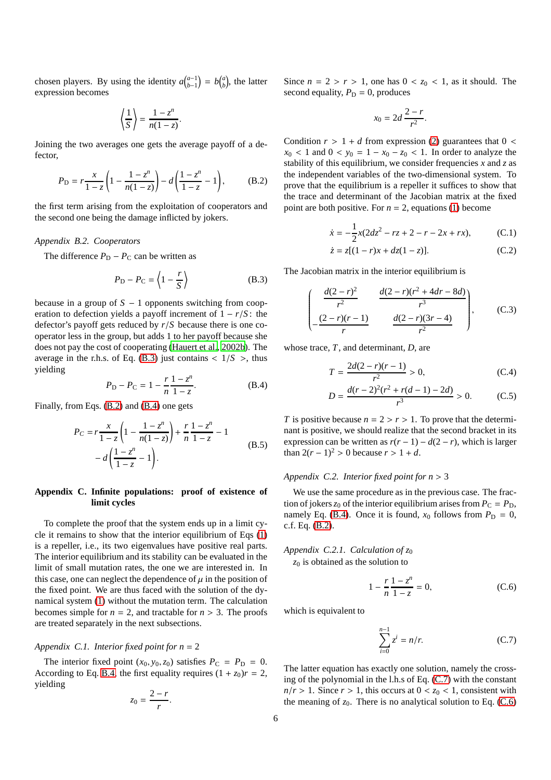chosen players. By using the identity  $a_{b-1}^{(a-1)} = b_{(b)}^{(a)}$ , the latter expression becomes

$$
\left\langle \frac{1}{S} \right\rangle = \frac{1 - z^n}{n(1 - z)}.
$$

Joining the two averages one gets the average payoff of a defector,

<span id="page-5-2"></span>
$$
P_{\rm D} = r \frac{x}{1 - z} \left( 1 - \frac{1 - z^n}{n(1 - z)} \right) - d \left( \frac{1 - z^n}{1 - z} - 1 \right), \tag{B.2}
$$

the first term arising from the exploitation of cooperators and the second one being the damage inflicted by jokers.

## *Appendix B.2. Cooperators*

The difference  $P_D - P_C$  can be written as

<span id="page-5-1"></span>
$$
P_{\rm D} - P_{\rm C} = \left\langle 1 - \frac{r}{S} \right\rangle \tag{B.3}
$$

because in a group of  $S - 1$  opponents switching from cooperation to defection yields a payoff increment of 1 − *r*/*S* : the defector's payoff gets reduced by *r*/*S* because there is one cooperator less in the group, but adds 1 to her payoff because she does not pay the cost of cooperating [\(Hauert et al., 2002b\)](#page-6-9). The average in the r.h.s. of Eq. [\(B.3\)](#page-5-1) just contains  $\langle 1/S \rangle$ , thus yielding

<span id="page-5-3"></span>
$$
P_{\rm D} - P_{\rm C} = 1 - \frac{r}{n} \frac{1 - z^n}{1 - z}.
$$
 (B.4)

Finally, from Eqs. [\(B.2\)](#page-5-2) and [\(B.4\)](#page-5-3) one gets

$$
P_C = r \frac{x}{1-z} \left( 1 - \frac{1-z^n}{n(1-z)} \right) + \frac{r}{n} \frac{1-z^n}{1-z} - 1
$$
  
-  $d \left( \frac{1-z^n}{1-z} - 1 \right).$  (B.5)

# <span id="page-5-0"></span>**Appendix C. Infinite populations: proof of existence of limit cycles**

To complete the proof that the system ends up in a limit cycle it remains to show that the interior equilibrium of Eqs [\(1\)](#page-2-0) is a repeller, i.e., its two eigenvalues have positive real parts. The interior equilibrium and its stability can be evaluated in the limit of small mutation rates, the one we are interested in. In this case, one can neglect the dependence of  $\mu$  in the position of the fixed point. We are thus faced with the solution of the dynamical system [\(1\)](#page-2-0) without the mutation term. The calculation becomes simple for  $n = 2$ , and tractable for  $n > 3$ . The proofs are treated separately in the next subsections.

## *Appendix C.1. Interior fixed point for n* = 2

The interior fixed point  $(x_0, y_0, z_0)$  satisfies  $P_C = P_D = 0$ . According to Eq. [B.4,](#page-5-3) the first equality requires  $(1 + z_0)r = 2$ , yielding

$$
z_0=\frac{2-r}{r}.
$$

Since  $n = 2 > r > 1$ , one has  $0 < z_0 < 1$ , as it should. The second equality,  $P_D = 0$ , produces

$$
x_0=2d\,\frac{2-r}{r^2}.
$$

Condition  $r > 1 + d$  from expression [\(2\)](#page-2-4) guarantees that  $0 <$  $x_0$  < 1 and  $0 < y_0 = 1 - x_0 - z_0 < 1$ . In order to analyze the stability of this equilibrium, we consider frequencies *x* and *z* as the independent variables of the two-dimensional system. To prove that the equilibrium is a repeller it suffices to show that the trace and determinant of the Jacobian matrix at the fixed point are both positive. For  $n = 2$ , equations [\(1\)](#page-2-0) become

$$
\dot{x} = -\frac{1}{2}x(2dz^2 - rz + 2 - r - 2x + rx),
$$
 (C.1)

$$
\dot{z} = z[(1 - r)x + dz(1 - z)].
$$
 (C.2)

The Jacobian matrix in the interior equilibrium is

$$
\left(\begin{array}{cc}\n\frac{d(2-r)^2}{r^2} & \frac{d(2-r)(r^2+4dr-8d)}{r^3} \\
-\frac{(2-r)(r-1)}{r} & \frac{d(2-r)(3r-4)}{r^2}\n\end{array}\right),\n\quad (C.3)
$$

whose trace, *T*, and determinant, *D*, are

$$
T = \frac{2d(2-r)(r-1)}{r^2} > 0,
$$
 (C.4)

$$
D = \frac{d(r-2)^2(r^2 + r(d-1) - 2d)}{r^3} > 0.
$$
 (C.5)

*T* is positive because  $n = 2 > r > 1$ . To prove that the determinant is positive, we should realize that the second bracket in its expression can be written as  $r(r-1) - d(2 - r)$ , which is larger than  $2(r-1)^2 > 0$  because  $r > 1 + d$ .

## *Appendix C.2. Interior fixed point for n* > 3

We use the same procedure as in the previous case. The fraction of jokers  $z_0$  of the interior equilibrium arises from  $P_C = P_D$ , namely Eq. [\(B.4\)](#page-5-3). Once it is found,  $x_0$  follows from  $P_D = 0$ , c.f. Eq. [\(B.2\)](#page-5-2).

# *Appendix C.2.1. Calculation of z*<sup>0</sup>

*z*<sup>0</sup> is obtained as the solution to

<span id="page-5-5"></span>
$$
1 - \frac{r}{n} \frac{1 - z^n}{1 - z} = 0,
$$
 (C.6)

which is equivalent to

<span id="page-5-4"></span>
$$
\sum_{i=0}^{n-1} z^i = n/r.
$$
 (C.7)

The latter equation has exactly one solution, namely the crossing of the polynomial in the l.h.s of Eq. [\(C.7\)](#page-5-4) with the constant  $n/r > 1$ . Since  $r > 1$ , this occurs at  $0 < z_0 < 1$ , consistent with the meaning of  $z_0$ . There is no analytical solution to Eq. [\(C.6\)](#page-5-5)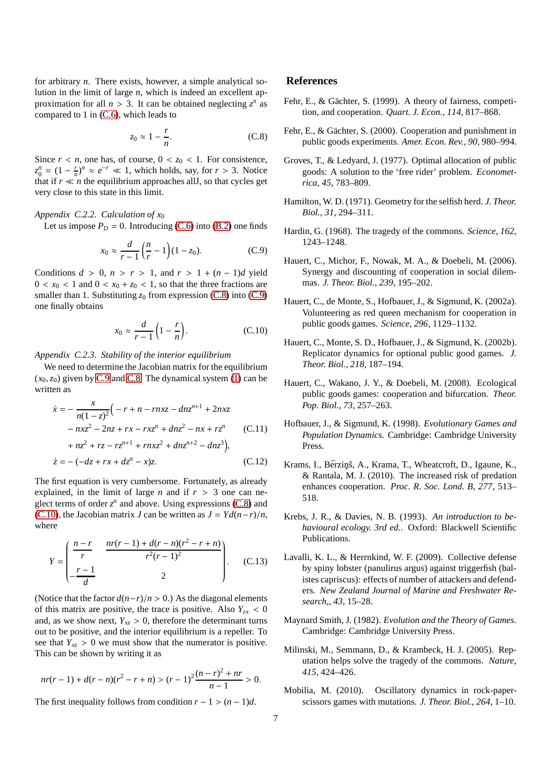for arbitrary *n*. There exists, however, a simple analytical solution in the limit of large *n*, which is indeed an excellent approximation for all  $n > 3$ . It can be obtained neglecting  $z^n$  as compared to 1 in [\(C.6\)](#page-5-5), which leads to

<span id="page-6-16"></span>
$$
z_0 \approx 1 - \frac{r}{n}.\tag{C.8}
$$

Since  $r < n$ , one has, of course,  $0 < z_0 < 1$ . For consistence,  $z_0^n = (1 - \frac{r}{n})^n \approx e^{-r} \ll 1$ , which holds, say, for  $r > 3$ . Notice that if  $r \ll n$  the equilibrium approaches all *J*, so that cycles get very close to this state in this limit.

#### *Appendix C.2.2. Calculation of x*<sup>0</sup>

Let us impose  $P_D = 0$ . Introducing [\(C.6\)](#page-5-5) into [\(B.2\)](#page-5-2) one finds

<span id="page-6-17"></span>
$$
x_0 \approx \frac{d}{r-1} \left( \frac{n}{r} - 1 \right) (1 - z_0).
$$
 (C.9)

Conditions  $d > 0$ ,  $n > r > 1$ , and  $r > 1 + (n - 1)d$  yield  $0 < x_0 < 1$  and  $0 < x_0 + z_0 < 1$ , so that the three fractions are smaller than 1. Substituting  $z_0$  from expression [\(C.8\)](#page-6-16) into [\(C.9\)](#page-6-17) one finally obtains

<span id="page-6-18"></span>
$$
x_0 \approx \frac{d}{r-1} \left( 1 - \frac{r}{n} \right). \tag{C.10}
$$

*Appendix C.2.3. Stability of the interior equilibrium*

We need to determine the Jacobian matrix for the equilibrium  $(x_0, z_0)$  given by [C.9](#page-6-17) and [C.8.](#page-6-16) The dynamical system [\(1\)](#page-2-0) can be written as

$$
\dot{x} = -\frac{x}{n(1-z)^2} \Big( -r + n - rnxz - dnz^{n+1} + 2nxz - nxz^2 - 2nz + rx - rxz^n + dnz^2 - nx + rz^n \Big) \tag{C.11}
$$

$$
+ nz^{2} + rz - rz^{n+1} + rnxz^{2} + dnz^{n+2} - dnz^{3}),
$$
  
\n
$$
\dot{z} = -(-dz + rx + dz^{n} - x)z.
$$
 (C.12)

The first equation is very cumbersome. Fortunately, as already explained, in the limit of large *n* and if  $r > 3$  one can neglect terms of order  $z^n$  and above. Using expressions [\(C.8\)](#page-6-16) and [\(C.10\)](#page-6-18), the Jacobian matrix *J* can be written as  $J = Yd(n-r)/n$ , where

$$
Y = \begin{pmatrix} \frac{n-r}{r} & \frac{nr(r-1) + d(r-n)(r^2 - r + n)}{r^2(r-1)^2} \\ -\frac{r-1}{d} & 2 \end{pmatrix}.
$$
 (C.13)

(Notice that the factor  $d(n-r)/n > 0$ .) As the diagonal elements of this matrix are positive, the trace is positive. Also  $Y_{zx} < 0$ and, as we show next,  $Y_{xz} > 0$ , therefore the determinant turns out to be positive, and the interior equilibrium is a repeller. To see that  $Y_{xz} > 0$  we must show that the numerator is positive. This can be shown by writing it as

$$
nr(r-1) + d(r-n)(r^2 - r + n) > (r-1)^2 \frac{(n-r)^2 + nr}{n-1} > 0.
$$

The first inequality follows from condition  $r - 1 > (n - 1)d$ .

# **References**

- <span id="page-6-10"></span>Fehr, E., & Gächter, S. (1999). A theory of fairness, competition, and cooperation. *Quart. J. Econ.*, *114*, 817–868.
- <span id="page-6-11"></span>Fehr, E., & Gächter, S. (2000). Cooperation and punishment in public goods experiments. *Amer. Econ. Rev.*, *90*, 980–994.
- <span id="page-6-5"></span>Groves, T., & Ledyard, J. (1977). Optimal allocation of public goods: A solution to the 'free rider' problem. *Econometrica*, *45*, 783–809.
- <span id="page-6-1"></span>Hamilton, W. D. (1971). Geometry for the selfish herd. *J. Theor. Biol.*, *31*, 294–311.
- <span id="page-6-6"></span>Hardin, G. (1968). The tragedy of the commons. *Science*, *162*, 1243–1248.
- <span id="page-6-14"></span>Hauert, C., Michor, F., Nowak, M. A., & Doebeli, M. (2006). Synergy and discounting of cooperation in social dilemmas. *J. Theor. Biol.*, *239*, 195–202.
- <span id="page-6-8"></span>Hauert, C., de Monte, S., Hofbauer, J., & Sigmund, K. (2002a). Volunteering as red queen mechanism for cooperation in public goods games. *Science*, *296*, 1129–1132.
- <span id="page-6-9"></span>Hauert, C., Monte, S. D., Hofbauer, J., & Sigmund, K. (2002b). Replicator dynamics for optional public good games. *J. Theor. Biol.*, *218*, 187–194.
- <span id="page-6-12"></span>Hauert, C., Wakano, J. Y., & Doebeli, M. (2008). Ecological public goods games: cooperation and bifurcation. *Theor. Pop. Biol.*, *73*, 257–263.
- <span id="page-6-4"></span>Hofbauer, J., & Sigmund, K. (1998). *Evolutionary Games and Population Dynamics*. Cambridge: Cambridge University Press.
- <span id="page-6-0"></span>Krams, I., Bērziņš, A., Krama, T., Wheatcroft, D., Igaune, K., & Rantala, M. J. (2010). The increased risk of predation enhances cooperation. *Proc. R. Soc. Lond. B*, *277*, 513– 518.
- <span id="page-6-2"></span>Krebs, J. R., & Davies, N. B. (1993). *An introduction to behavioural ecology. 3rd ed.*. Oxford: Blackwell Scientific Publications.
- <span id="page-6-3"></span>Lavalli, K. L., & Herrnkind, W. F. (2009). Collective defense by spiny lobster (panulirus argus) against triggerfish (balistes capriscus): effects of number of attackers and defenders. *New Zealand Journal of Marine and Freshwater Research,*, *43*, 15–28.
- <span id="page-6-13"></span>Maynard Smith, J. (1982). *Evolution and the Theory of Games*. Cambridge: Cambridge University Press.
- <span id="page-6-7"></span>Milinski, M., Semmann, D., & Krambeck, H. J. (2005). Reputation helps solve the tragedy of the commons. *Nature*, *415*, 424–426.
- <span id="page-6-15"></span>Mobilia, M. (2010). Oscillatory dynamics in rock-paperscissors games with mutations. *J. Theor. Biol.*, *264*, 1–10.